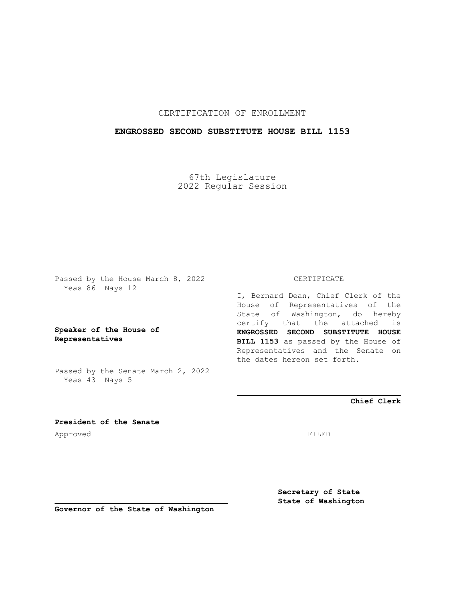# CERTIFICATION OF ENROLLMENT

### **ENGROSSED SECOND SUBSTITUTE HOUSE BILL 1153**

67th Legislature 2022 Regular Session

Passed by the House March 8, 2022 Yeas 86 Nays 12

**Speaker of the House of Representatives**

Passed by the Senate March 2, 2022 Yeas 43 Nays 5

#### CERTIFICATE

I, Bernard Dean, Chief Clerk of the House of Representatives of the State of Washington, do hereby certify that the attached is **ENGROSSED SECOND SUBSTITUTE HOUSE BILL 1153** as passed by the House of Representatives and the Senate on the dates hereon set forth.

**Chief Clerk**

**President of the Senate** Approved FILED

**Secretary of State State of Washington**

**Governor of the State of Washington**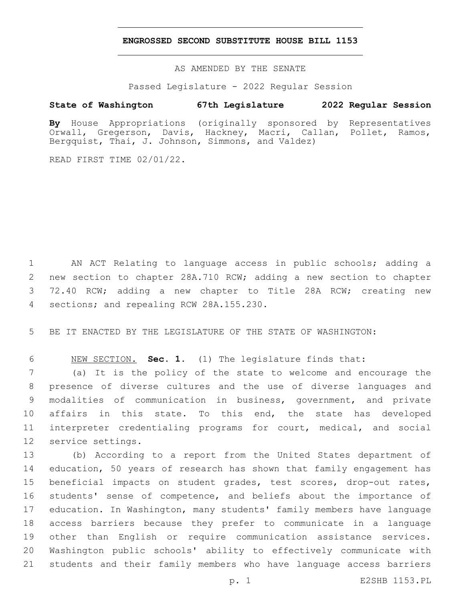### **ENGROSSED SECOND SUBSTITUTE HOUSE BILL 1153**

AS AMENDED BY THE SENATE

Passed Legislature - 2022 Regular Session

# **State of Washington 67th Legislature 2022 Regular Session**

**By** House Appropriations (originally sponsored by Representatives Orwall, Gregerson, Davis, Hackney, Macri, Callan, Pollet, Ramos, Bergquist, Thai, J. Johnson, Simmons, and Valdez)

READ FIRST TIME 02/01/22.

 AN ACT Relating to language access in public schools; adding a new section to chapter 28A.710 RCW; adding a new section to chapter 72.40 RCW; adding a new chapter to Title 28A RCW; creating new 4 sections; and repealing RCW 28A.155.230.

BE IT ENACTED BY THE LEGISLATURE OF THE STATE OF WASHINGTON:

NEW SECTION. **Sec. 1.** (1) The legislature finds that:

 (a) It is the policy of the state to welcome and encourage the presence of diverse cultures and the use of diverse languages and modalities of communication in business, government, and private affairs in this state. To this end, the state has developed interpreter credentialing programs for court, medical, and social 12 service settings.

 (b) According to a report from the United States department of education, 50 years of research has shown that family engagement has beneficial impacts on student grades, test scores, drop-out rates, students' sense of competence, and beliefs about the importance of education. In Washington, many students' family members have language access barriers because they prefer to communicate in a language other than English or require communication assistance services. Washington public schools' ability to effectively communicate with students and their family members who have language access barriers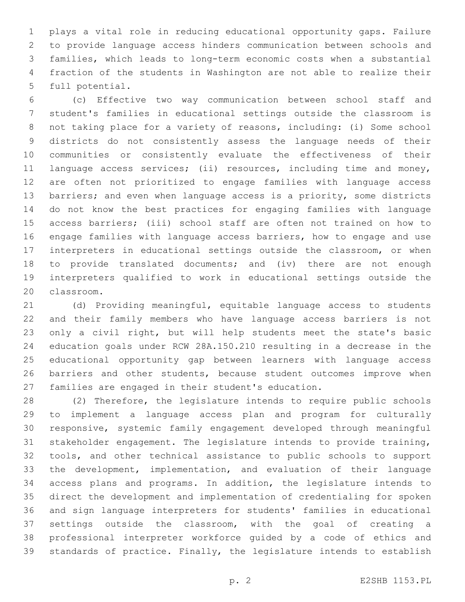plays a vital role in reducing educational opportunity gaps. Failure to provide language access hinders communication between schools and families, which leads to long-term economic costs when a substantial fraction of the students in Washington are not able to realize their 5 full potential.

 (c) Effective two way communication between school staff and student's families in educational settings outside the classroom is not taking place for a variety of reasons, including: (i) Some school districts do not consistently assess the language needs of their communities or consistently evaluate the effectiveness of their language access services; (ii) resources, including time and money, are often not prioritized to engage families with language access 13 barriers; and even when language access is a priority, some districts do not know the best practices for engaging families with language access barriers; (iii) school staff are often not trained on how to engage families with language access barriers, how to engage and use interpreters in educational settings outside the classroom, or when to provide translated documents; and (iv) there are not enough interpreters qualified to work in educational settings outside the 20 classroom.

 (d) Providing meaningful, equitable language access to students and their family members who have language access barriers is not only a civil right, but will help students meet the state's basic education goals under RCW 28A.150.210 resulting in a decrease in the educational opportunity gap between learners with language access 26 barriers and other students, because student outcomes improve when families are engaged in their student's education.

 (2) Therefore, the legislature intends to require public schools to implement a language access plan and program for culturally responsive, systemic family engagement developed through meaningful stakeholder engagement. The legislature intends to provide training, tools, and other technical assistance to public schools to support the development, implementation, and evaluation of their language access plans and programs. In addition, the legislature intends to direct the development and implementation of credentialing for spoken and sign language interpreters for students' families in educational settings outside the classroom, with the goal of creating a professional interpreter workforce guided by a code of ethics and standards of practice. Finally, the legislature intends to establish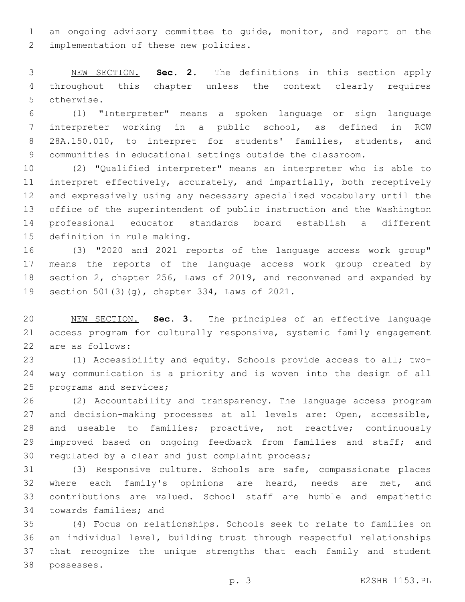an ongoing advisory committee to guide, monitor, and report on the 2 implementation of these new policies.

 NEW SECTION. **Sec. 2.** The definitions in this section apply throughout this chapter unless the context clearly requires otherwise.

 (1) "Interpreter" means a spoken language or sign language interpreter working in a public school, as defined in RCW 28A.150.010, to interpret for students' families, students, and communities in educational settings outside the classroom.

 (2) "Qualified interpreter" means an interpreter who is able to interpret effectively, accurately, and impartially, both receptively and expressively using any necessary specialized vocabulary until the office of the superintendent of public instruction and the Washington professional educator standards board establish a different 15 definition in rule making.

 (3) "2020 and 2021 reports of the language access work group" means the reports of the language access work group created by section 2, chapter 256, Laws of 2019, and reconvened and expanded by 19 section 501(3)(g), chapter 334, Laws of 2021.

 NEW SECTION. **Sec. 3.** The principles of an effective language access program for culturally responsive, systemic family engagement are as follows:

 (1) Accessibility and equity. Schools provide access to all; two- way communication is a priority and is woven into the design of all 25 programs and services;

 (2) Accountability and transparency. The language access program and decision-making processes at all levels are: Open, accessible, and useable to families; proactive, not reactive; continuously 29 improved based on ongoing feedback from families and staff; and 30 regulated by a clear and just complaint process;

 (3) Responsive culture. Schools are safe, compassionate places where each family's opinions are heard, needs are met, and contributions are valued. School staff are humble and empathetic 34 towards families; and

 (4) Focus on relationships. Schools seek to relate to families on an individual level, building trust through respectful relationships that recognize the unique strengths that each family and student possesses.38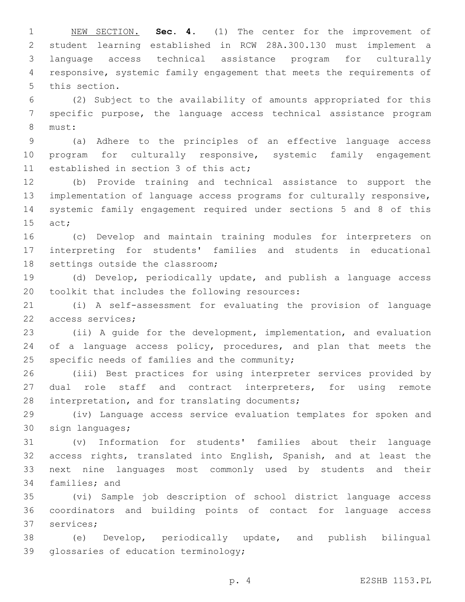NEW SECTION. **Sec. 4.** (1) The center for the improvement of student learning established in RCW 28A.300.130 must implement a language access technical assistance program for culturally responsive, systemic family engagement that meets the requirements of this section.

 (2) Subject to the availability of amounts appropriated for this specific purpose, the language access technical assistance program 8 must:

 (a) Adhere to the principles of an effective language access program for culturally responsive, systemic family engagement 11 established in section 3 of this act;

 (b) Provide training and technical assistance to support the implementation of language access programs for culturally responsive, systemic family engagement required under sections 5 and 8 of this 15 act;

 (c) Develop and maintain training modules for interpreters on interpreting for students' families and students in educational 18 settings outside the classroom;

 (d) Develop, periodically update, and publish a language access 20 toolkit that includes the following resources:

 (i) A self-assessment for evaluating the provision of language 22 access services;

 (ii) A guide for the development, implementation, and evaluation 24 of a language access policy, procedures, and plan that meets the specific needs of families and the community;

 (iii) Best practices for using interpreter services provided by 27 dual role staff and contract interpreters, for using remote 28 interpretation, and for translating documents;

 (iv) Language access service evaluation templates for spoken and 30 sign languages;

 (v) Information for students' families about their language access rights, translated into English, Spanish, and at least the next nine languages most commonly used by students and their 34 families; and

 (vi) Sample job description of school district language access coordinators and building points of contact for language access 37 services;

 (e) Develop, periodically update, and publish bilingual 39 glossaries of education terminology;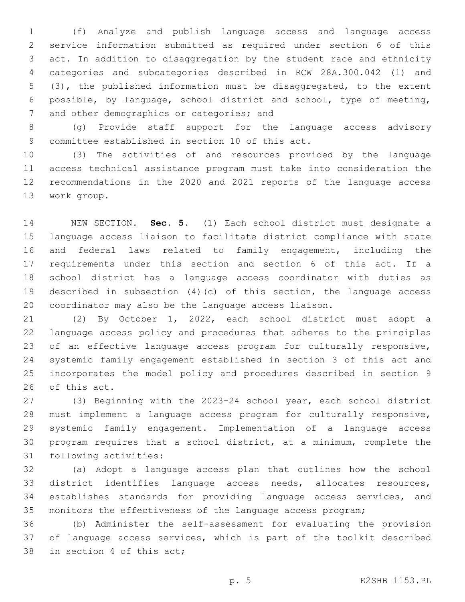(f) Analyze and publish language access and language access service information submitted as required under section 6 of this act. In addition to disaggregation by the student race and ethnicity categories and subcategories described in RCW 28A.300.042 (1) and (3), the published information must be disaggregated, to the extent possible, by language, school district and school, type of meeting, 7 and other demographics or categories; and

 (g) Provide staff support for the language access advisory 9 committee established in section 10 of this act.

 (3) The activities of and resources provided by the language access technical assistance program must take into consideration the recommendations in the 2020 and 2021 reports of the language access 13 work group.

 NEW SECTION. **Sec. 5.** (1) Each school district must designate a language access liaison to facilitate district compliance with state and federal laws related to family engagement, including the requirements under this section and section 6 of this act. If a school district has a language access coordinator with duties as described in subsection (4)(c) of this section, the language access coordinator may also be the language access liaison.

 (2) By October 1, 2022, each school district must adopt a language access policy and procedures that adheres to the principles of an effective language access program for culturally responsive, systemic family engagement established in section 3 of this act and incorporates the model policy and procedures described in section 9 26 of this act.

 (3) Beginning with the 2023-24 school year, each school district must implement a language access program for culturally responsive, systemic family engagement. Implementation of a language access program requires that a school district, at a minimum, complete the 31 following activities:

 (a) Adopt a language access plan that outlines how the school district identifies language access needs, allocates resources, establishes standards for providing language access services, and monitors the effectiveness of the language access program;

 (b) Administer the self-assessment for evaluating the provision of language access services, which is part of the toolkit described 38 in section 4 of this act;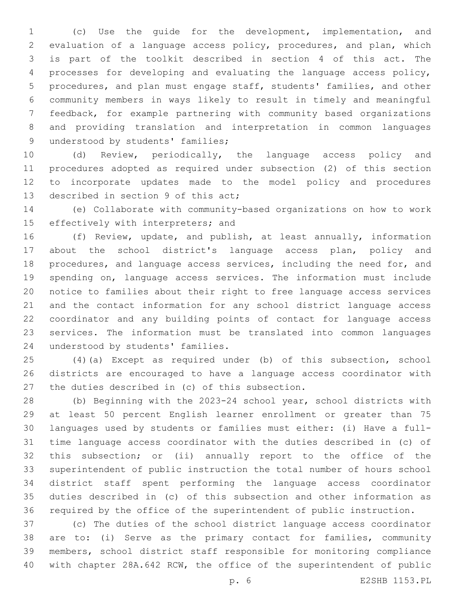(c) Use the guide for the development, implementation, and evaluation of a language access policy, procedures, and plan, which is part of the toolkit described in section 4 of this act. The processes for developing and evaluating the language access policy, procedures, and plan must engage staff, students' families, and other community members in ways likely to result in timely and meaningful feedback, for example partnering with community based organizations and providing translation and interpretation in common languages 9 understood by students' families;

 (d) Review, periodically, the language access policy and procedures adopted as required under subsection (2) of this section to incorporate updates made to the model policy and procedures 13 described in section 9 of this act;

 (e) Collaborate with community-based organizations on how to work 15 effectively with interpreters; and

 (f) Review, update, and publish, at least annually, information about the school district's language access plan, policy and procedures, and language access services, including the need for, and spending on, language access services. The information must include notice to families about their right to free language access services and the contact information for any school district language access coordinator and any building points of contact for language access services. The information must be translated into common languages 24 understood by students' families.

 (4)(a) Except as required under (b) of this subsection, school districts are encouraged to have a language access coordinator with 27 the duties described in (c) of this subsection.

 (b) Beginning with the 2023-24 school year, school districts with at least 50 percent English learner enrollment or greater than 75 languages used by students or families must either: (i) Have a full- time language access coordinator with the duties described in (c) of this subsection; or (ii) annually report to the office of the superintendent of public instruction the total number of hours school district staff spent performing the language access coordinator duties described in (c) of this subsection and other information as required by the office of the superintendent of public instruction.

 (c) The duties of the school district language access coordinator are to: (i) Serve as the primary contact for families, community members, school district staff responsible for monitoring compliance with chapter 28A.642 RCW, the office of the superintendent of public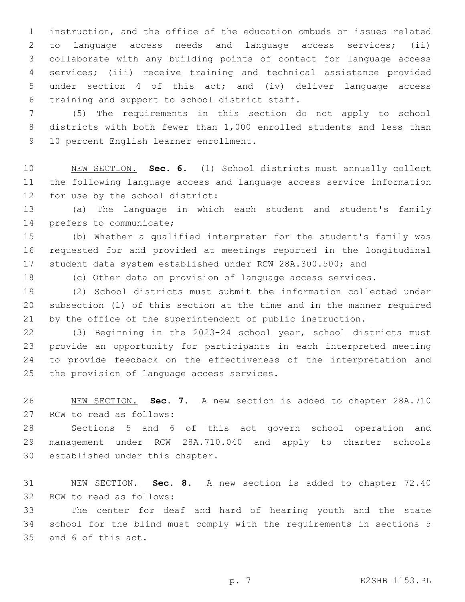instruction, and the office of the education ombuds on issues related to language access needs and language access services; (ii) collaborate with any building points of contact for language access services; (iii) receive training and technical assistance provided under section 4 of this act; and (iv) deliver language access 6 training and support to school district staff.

 (5) The requirements in this section do not apply to school districts with both fewer than 1,000 enrolled students and less than 9 10 percent English learner enrollment.

 NEW SECTION. **Sec. 6.** (1) School districts must annually collect the following language access and language access service information for use by the school district:

 (a) The language in which each student and student's family 14 prefers to communicate;

 (b) Whether a qualified interpreter for the student's family was requested for and provided at meetings reported in the longitudinal student data system established under RCW 28A.300.500; and

(c) Other data on provision of language access services.

 (2) School districts must submit the information collected under subsection (1) of this section at the time and in the manner required by the office of the superintendent of public instruction.

 (3) Beginning in the 2023-24 school year, school districts must provide an opportunity for participants in each interpreted meeting to provide feedback on the effectiveness of the interpretation and 25 the provision of language access services.

 NEW SECTION. **Sec. 7.** A new section is added to chapter 28A.710 27 RCW to read as follows:

 Sections 5 and 6 of this act govern school operation and management under RCW 28A.710.040 and apply to charter schools 30 established under this chapter.

 NEW SECTION. **Sec. 8.** A new section is added to chapter 72.40 32 RCW to read as follows:

 The center for deaf and hard of hearing youth and the state school for the blind must comply with the requirements in sections 5 35 and 6 of this act.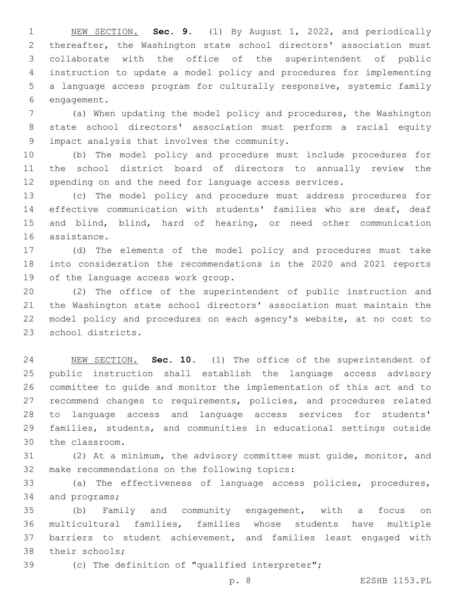NEW SECTION. **Sec. 9.** (1) By August 1, 2022, and periodically thereafter, the Washington state school directors' association must collaborate with the office of the superintendent of public instruction to update a model policy and procedures for implementing a language access program for culturally responsive, systemic family engagement.

 (a) When updating the model policy and procedures, the Washington state school directors' association must perform a racial equity impact analysis that involves the community.9

 (b) The model policy and procedure must include procedures for the school district board of directors to annually review the spending on and the need for language access services.

 (c) The model policy and procedure must address procedures for effective communication with students' families who are deaf, deaf and blind, blind, hard of hearing, or need other communication 16 assistance.

 (d) The elements of the model policy and procedures must take into consideration the recommendations in the 2020 and 2021 reports 19 of the language access work group.

 (2) The office of the superintendent of public instruction and the Washington state school directors' association must maintain the model policy and procedures on each agency's website, at no cost to 23 school districts.

 NEW SECTION. **Sec. 10.** (1) The office of the superintendent of public instruction shall establish the language access advisory committee to guide and monitor the implementation of this act and to recommend changes to requirements, policies, and procedures related to language access and language access services for students' families, students, and communities in educational settings outside the classroom.

 (2) At a minimum, the advisory committee must guide, monitor, and 32 make recommendations on the following topics:

 (a) The effectiveness of language access policies, procedures, 34 and programs;

 (b) Family and community engagement, with a focus on multicultural families, families whose students have multiple barriers to student achievement, and families least engaged with 38 their schools;

(c) The definition of "qualified interpreter";

p. 8 E2SHB 1153.PL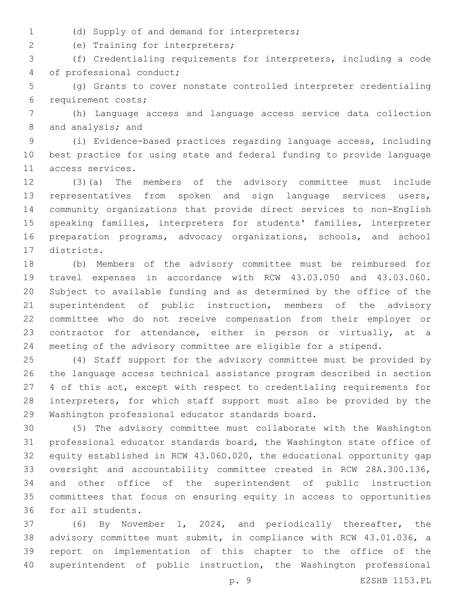- 
- (d) Supply of and demand for interpreters;1

(e) Training for interpreters;2

 (f) Credentialing requirements for interpreters, including a code 4 of professional conduct;

 (g) Grants to cover nonstate controlled interpreter credentialing 6 requirement costs;

 (h) Language access and language access service data collection 8 and analysis; and

 (i) Evidence-based practices regarding language access, including best practice for using state and federal funding to provide language 11 access services.

 (3)(a) The members of the advisory committee must include 13 representatives from spoken and sign language services users, community organizations that provide direct services to non-English speaking families, interpreters for students' families, interpreter preparation programs, advocacy organizations, schools, and school 17 districts.

 (b) Members of the advisory committee must be reimbursed for travel expenses in accordance with RCW 43.03.050 and 43.03.060. Subject to available funding and as determined by the office of the superintendent of public instruction, members of the advisory committee who do not receive compensation from their employer or contractor for attendance, either in person or virtually, at a meeting of the advisory committee are eligible for a stipend.

 (4) Staff support for the advisory committee must be provided by the language access technical assistance program described in section 4 of this act, except with respect to credentialing requirements for interpreters, for which staff support must also be provided by the 29 Washington professional educator standards board.

 (5) The advisory committee must collaborate with the Washington professional educator standards board, the Washington state office of equity established in RCW 43.06D.020, the educational opportunity gap oversight and accountability committee created in RCW 28A.300.136, and other office of the superintendent of public instruction committees that focus on ensuring equity in access to opportunities 36 for all students.

 (6) By November 1, 2024, and periodically thereafter, the advisory committee must submit, in compliance with RCW 43.01.036, a report on implementation of this chapter to the office of the superintendent of public instruction, the Washington professional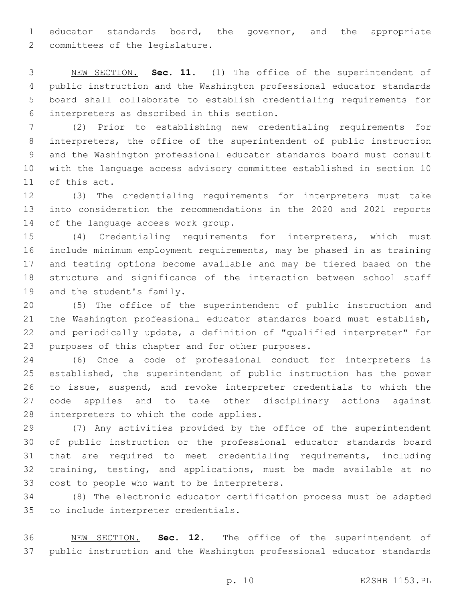educator standards board, the governor, and the appropriate 2 committees of the legislature.

 NEW SECTION. **Sec. 11.** (1) The office of the superintendent of public instruction and the Washington professional educator standards board shall collaborate to establish credentialing requirements for interpreters as described in this section.

 (2) Prior to establishing new credentialing requirements for interpreters, the office of the superintendent of public instruction and the Washington professional educator standards board must consult with the language access advisory committee established in section 10 11 of this act.

 (3) The credentialing requirements for interpreters must take into consideration the recommendations in the 2020 and 2021 reports 14 of the language access work group.

 (4) Credentialing requirements for interpreters, which must include minimum employment requirements, may be phased in as training and testing options become available and may be tiered based on the structure and significance of the interaction between school staff 19 and the student's family.

 (5) The office of the superintendent of public instruction and the Washington professional educator standards board must establish, and periodically update, a definition of "qualified interpreter" for 23 purposes of this chapter and for other purposes.

 (6) Once a code of professional conduct for interpreters is established, the superintendent of public instruction has the power to issue, suspend, and revoke interpreter credentials to which the code applies and to take other disciplinary actions against 28 interpreters to which the code applies.

 (7) Any activities provided by the office of the superintendent of public instruction or the professional educator standards board that are required to meet credentialing requirements, including training, testing, and applications, must be made available at no 33 cost to people who want to be interpreters.

 (8) The electronic educator certification process must be adapted 35 to include interpreter credentials.

 NEW SECTION. **Sec. 12.** The office of the superintendent of public instruction and the Washington professional educator standards